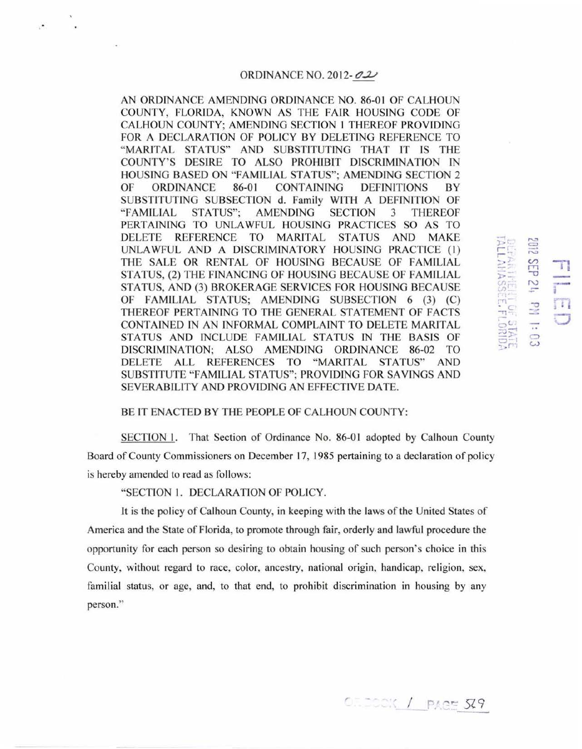#### ORDINANCE NO. 2012- $\mathcal{OL}$

AN ORDINANCE AMENDING ORDINANCE NO. 86-01 OF CALHOUN COUNTY, FLORIDA, KNOWN AS THE FAJR HOUSING CODE OF CALHOUN COUNTY; AMENDING SECTION 1 THEREOF PROVIDING FOR A DECLARATION OF POLICY BY DELETING REFERENCE TO "MARITAL STATUS" AND SUBSTITUTING THAT IT IS THE COUNTY'S DESIRE TO ALSO PROHIBIT DISCRIMINATION IN HOUSING BASED ON "FAMJLJAL STATUS"; AMENDING SECTION 2 OF ORDINANCE 86-01 CONTAINING DEFINITIONS BY SUBSTITUTING SUBSECTION d. Family WITH A DEFINITION OF " FAMILIAL STATUS"; AMENDING SECTION 3 THEREOF PERTAINING TO UNLAWFUL HOUSING PRACTICES SO AS TO DELETE REFERENCE TO MARITAL STATUS AND MAKE UNLAWFUL AND A DISCRIMINATORY HOUSING PRACTICE (!) THE SALE OR RENTAL OF HOUSING BECAUSE OF FAMILIAL STATUS, (2) THE FINANCING OF HOUSING BECAUSE OF FAMILIAL STATUS, AND (3) BROKERAGE SERVICES FOR HOUSING BECAUSE OF FAMILIAL STATUS; AMENDING SUBSECTION 6 (3) (C) THEREOF PERTAINING TO THE GENERAL STATEMENT OF FACTS CONTAINED IN AN INFORMAL COMPLAINT TO DELETE MARITAL STATUS AND INCLUDE FAMILIAL STATUS IN THE BASIS OF DISCRIMINATION; ALSO AMENDING ORDINANCE 86-02 TO DELETE ALL REFERENCES TO "MARITAL STATUS" AND SUBSTITUTE "FAMILIAL STATUS"; PROVIDJNG FOR SAYINGS AND SEVERABILITY AND PROVIDING AN EFFECTIVE DATE.

### BE IT ENACTED BY THE PEOPLE OF CALHOUN COUNTY:

SECTION I. That Section of Ordinance No. 86-01 adopted by Calhoun County Board of County Commissioners on December 17, 1985 pertaining to a declaration of policy is hereby amended to read as follows:

## "SECTION I. DECLARA TlON OF POLICY.

It is the policy of Calhoun County, in keeping with the laws of the United States of America and the State of Florida, to promote through fair, orderly and lawful procedure the opportunity for each person so desiring to obtain housing of such person's choice in this County, without regard to race, color, ancestry, national origin, handicap, religion, sex, familial status, or age, and, to that end, to prohibit discrimination in housing by any person."

*<u>CILDOCK / PAGE 529</u>* 

 $-1$  ,... 3 2012<br>Drift S

~<br>^<br>EHI 01<br>TO - +1<br>TO +1

 $\begin{array}{cc} .\ \ \, 0.3 \ \ \, 0.3 \end{array}$ 

 $\begin{array}{c}\n\text{F} \\
\text{F} \\
\text{F} \\
\text{F} \\
\text{F} \\
\text{F} \\
\text{F} \\
\text{F} \\
\text{F} \\
\text{F} \\
\text{F} \\
\text{F} \\
\text{F} \\
\text{F} \\
\text{F} \\
\text{F} \\
\text{F} \\
\text{F} \\
\text{F} \\
\text{F} \\
\text{F} \\
\text{F} \\
\text{F} \\
\text{F} \\
\text{F} \\
\text{F} \\
\text{F} \\
\text{F} \\
\text{F} \\
\text{F} \\
\text{F} \\
\text{F} \\
\text{F} \\
\text{F} \\
\text{F} \\
\text$ 

 $\frac{1}{20}$   $\frac{1}{20}$   $\frac{1}{20}$   $\frac{1}{20}$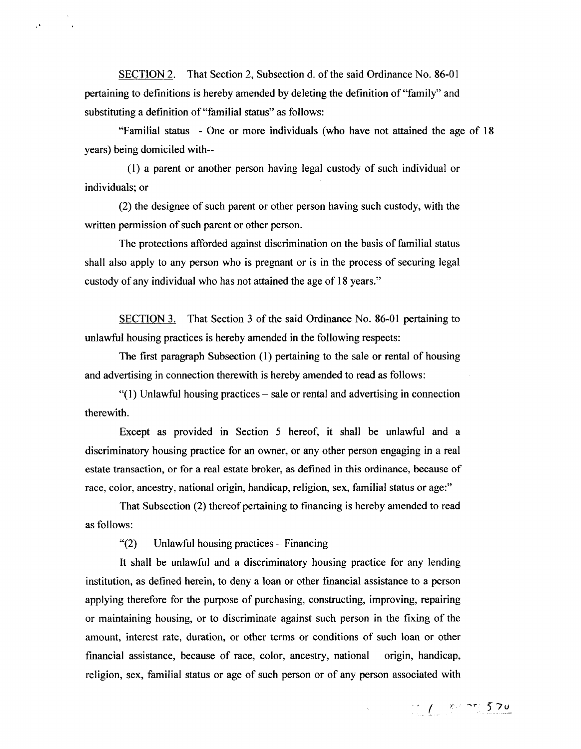SECTION 2. That Section 2, Subsection d. of the said Ordinance No. 86-01 pertaining to definitions is hereby amended by deleting the definition of "family" and substituting a definition of "familial status" as follows:

 $\mathcal{O}$ 

"Familial status - One or more individuals (who have not attained the age of 18 years) being domiciled with--

(1) a parent or another person having legal custody of such individual or individuals; or

(2) the designee of such parent or other person having such custody, with the written permission of such parent or other person.

The protections afforded against discrimination on the basis of familial status shall also apply to any person who is pregnant or is in the process of securing legal custody of any individual who has not attained the age of 18 years."

SECTION 3. That Section 3 of the said Ordinance No. 86-01 pertaining to unlawful housing practices is hereby amended in the following respects:

The first paragraph Subsection (1) pertaining to the sale or rental of housing and advertising in connection therewith is hereby amended to read as follows:

 $"(1)$  Unlawful housing practices – sale or rental and advertising in connection therewith.

Except as provided in Section 5 hereof, it shall be unlawful and a discriminatory housing practice for an owner, or any other person engaging in a real estate transaction, or for a real estate broker, as defined in this ordinance, because of race, color, ancestry, national origin, handicap, religion, sex, familial status or age:"

That Subsection (2) thereof pertaining to financing is hereby amended to read as follows:

"(2) Unlawful housing practices- Financing

It shall be unlawful and a discriminatory housing practice for any lending institution, as defined herein, to deny a loan or other financial assistance to a person applying therefore for the purpose of purchasing, constructing, improving, repairing or maintaining housing, or to discriminate against such person in the fixing of the amount, interest rate, duration, or other terms or conditions of such loan or other financial assistance, because of race, color, ancestry, national origin, handicap, religion, sex, familial status or age of such person or of any person associated with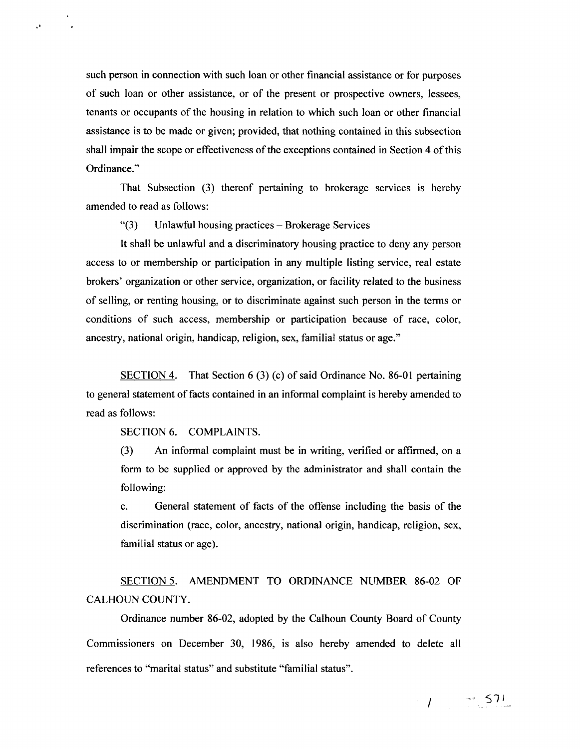such person in connection with such loan or other financial assistance or for purposes of such loan or other assistance, or of the present or prospective owners, lessees, tenants or occupants of the housing in relation to which such loan or other financial assistance is to be made or given; provided, that nothing contained in this subsection shall impair the scope or effectiveness of the exceptions contained in Section 4 of this Ordinance."

That Subsection (3) thereof pertaining to brokerage services is hereby amended to read as follows:

"(3) Unlawful housing practices- Brokerage Services

It shall be unlawful and a discriminatory housing practice to deny any person access to or membership or participation in any multiple listing service, real estate brokers' organization or other service, organization, or facility related to the business of selling, or renting housing, or to discriminate against such person in the terms or conditions of such access, membership or participation because of race, color, ancestry, national origin, handicap, religion, sex, familial status or age."

SECTION 4. That Section 6 (3) (c) of said Ordinance No. 86-01 pertaining to general statement of facts contained in an informal complaint is hereby amended to read as follows:

SECTION 6. COMPLAINTS.

·'

(3) An informal complaint must be in writing, verified or affirmed, on a form to be supplied or approved by the administrator and shall contain the following:

c. General statement of facts of the offense including the basis of the discrimination (race, color, ancestry, national origin, handicap, religion, sex, familial status or age).

SECTION 5. AMENDMENT TO ORDINANCE NUMBER 86-02 OF CALHOUN COUNTY.

Ordinance number 86-02, adopted by the Calhoun County Board of County Commissioners on December 30, 1986, is also hereby amended to delete all references to "marital status" and substitute "familial status".